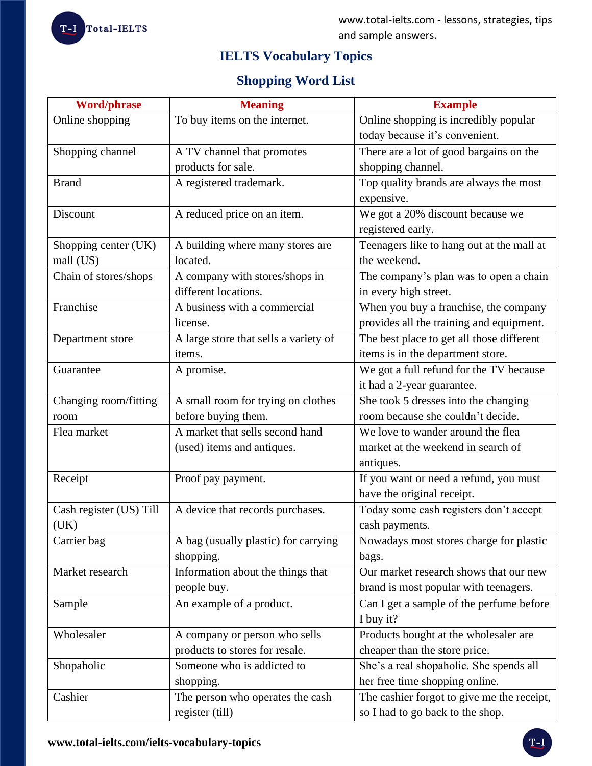# **IELTS Vocabulary Topics**

# **Shopping Word List**

| <b>Word/phrase</b>      | <b>Meaning</b>                        | <b>Example</b>                             |
|-------------------------|---------------------------------------|--------------------------------------------|
| Online shopping         | To buy items on the internet.         | Online shopping is incredibly popular      |
|                         |                                       | today because it's convenient.             |
| Shopping channel        | A TV channel that promotes            | There are a lot of good bargains on the    |
|                         | products for sale.                    | shopping channel.                          |
| <b>Brand</b>            | A registered trademark.               | Top quality brands are always the most     |
|                         |                                       | expensive.                                 |
| Discount                | A reduced price on an item.           | We got a 20% discount because we           |
|                         |                                       | registered early.                          |
| Shopping center (UK)    | A building where many stores are      | Teenagers like to hang out at the mall at  |
| mall (US)               | located.                              | the weekend.                               |
| Chain of stores/shops   | A company with stores/shops in        | The company's plan was to open a chain     |
|                         | different locations.                  | in every high street.                      |
| Franchise               | A business with a commercial          | When you buy a franchise, the company      |
|                         | license.                              | provides all the training and equipment.   |
| Department store        | A large store that sells a variety of | The best place to get all those different  |
|                         | items.                                | items is in the department store.          |
| Guarantee               | A promise.                            | We got a full refund for the TV because    |
|                         |                                       | it had a 2-year guarantee.                 |
| Changing room/fitting   | A small room for trying on clothes    | She took 5 dresses into the changing       |
| room                    | before buying them.                   | room because she couldn't decide.          |
| Flea market             | A market that sells second hand       | We love to wander around the flea          |
|                         | (used) items and antiques.            | market at the weekend in search of         |
|                         |                                       | antiques.                                  |
| Receipt                 | Proof pay payment.                    | If you want or need a refund, you must     |
|                         |                                       | have the original receipt.                 |
| Cash register (US) Till | A device that records purchases.      | Today some cash registers don't accept     |
| (UK)                    |                                       | cash payments.                             |
| Carrier bag             | A bag (usually plastic) for carrying  | Nowadays most stores charge for plastic    |
|                         | shopping.                             | bags.                                      |
| Market research         | Information about the things that     | Our market research shows that our new     |
|                         | people buy.                           | brand is most popular with teenagers.      |
| Sample                  | An example of a product.              | Can I get a sample of the perfume before   |
|                         |                                       | I buy it?                                  |
| Wholesaler              | A company or person who sells         | Products bought at the wholesaler are      |
|                         | products to stores for resale.        | cheaper than the store price.              |
| Shopaholic              | Someone who is addicted to            | She's a real shopaholic. She spends all    |
|                         | shopping.                             | her free time shopping online.             |
| Cashier                 | The person who operates the cash      | The cashier forgot to give me the receipt, |
|                         | register (till)                       | so I had to go back to the shop.           |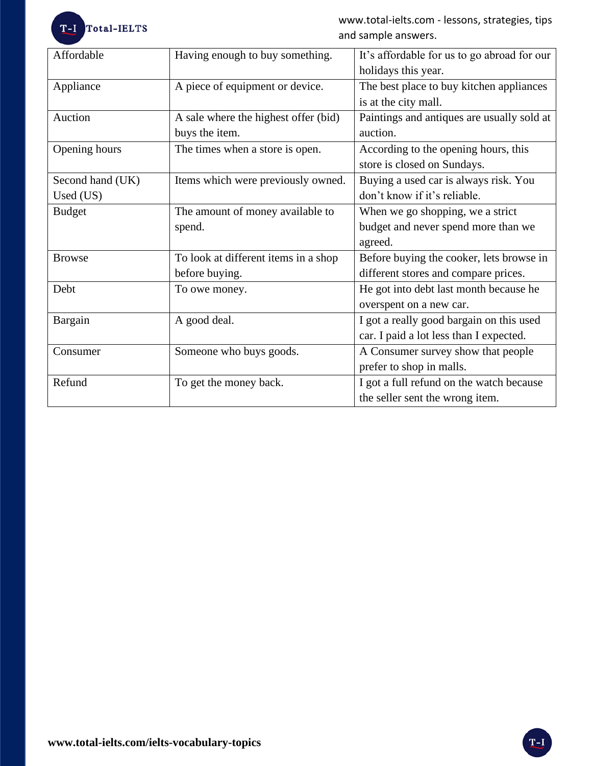

www.total-ielts.com - lessons, strategies, tips and sample answers.

| Affordable       | Having enough to buy something.      | It's affordable for us to go abroad for our |
|------------------|--------------------------------------|---------------------------------------------|
|                  |                                      | holidays this year.                         |
| Appliance        | A piece of equipment or device.      | The best place to buy kitchen appliances    |
|                  |                                      | is at the city mall.                        |
| Auction          | A sale where the highest offer (bid) | Paintings and antiques are usually sold at  |
|                  | buys the item.                       | auction.                                    |
| Opening hours    | The times when a store is open.      | According to the opening hours, this        |
|                  |                                      | store is closed on Sundays.                 |
| Second hand (UK) | Items which were previously owned.   | Buying a used car is always risk. You       |
| Used (US)        |                                      | don't know if it's reliable.                |
| <b>Budget</b>    | The amount of money available to     | When we go shopping, we a strict            |
|                  | spend.                               | budget and never spend more than we         |
|                  |                                      | agreed.                                     |
| <b>Browse</b>    | To look at different items in a shop | Before buying the cooker, lets browse in    |
|                  | before buying.                       | different stores and compare prices.        |
| Debt             | To owe money.                        | He got into debt last month because he      |
|                  |                                      | overspent on a new car.                     |
| Bargain          | A good deal.                         | I got a really good bargain on this used    |
|                  |                                      | car. I paid a lot less than I expected.     |
| Consumer         | Someone who buys goods.              | A Consumer survey show that people          |
|                  |                                      | prefer to shop in malls.                    |
| Refund           | To get the money back.               | I got a full refund on the watch because    |
|                  |                                      | the seller sent the wrong item.             |